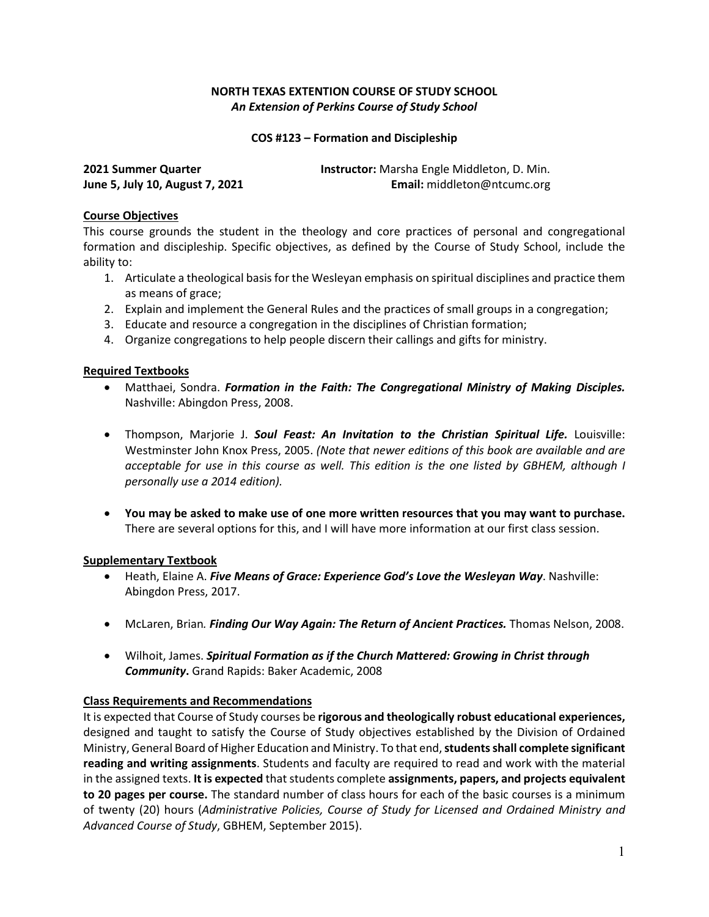# **NORTH TEXAS EXTENTION COURSE OF STUDY SCHOOL** *An Extension of Perkins Course of Study School*

**COS #123 – Formation and Discipleship**

| 2021 Summer Quarter             | <b>Instructor:</b> Marsha Engle Middleton, D. Min. |
|---------------------------------|----------------------------------------------------|
| June 5, July 10, August 7, 2021 | Email: middleton@ntcumc.org                        |

### **Course Objectives**

This course grounds the student in the theology and core practices of personal and congregational formation and discipleship. Specific objectives, as defined by the Course of Study School, include the ability to:

- 1. Articulate a theological basis for the Wesleyan emphasis on spiritual disciplines and practice them as means of grace;
- 2. Explain and implement the General Rules and the practices of small groups in a congregation;
- 3. Educate and resource a congregation in the disciplines of Christian formation;
- 4. Organize congregations to help people discern their callings and gifts for ministry.

### **Required Textbooks**

- Matthaei, Sondra. *Formation in the Faith: The Congregational Ministry of Making Disciples.* Nashville: Abingdon Press, 2008.
- Thompson, Marjorie J. *Soul Feast: An Invitation to the Christian Spiritual Life.* Louisville: Westminster John Knox Press, 2005. *(Note that newer editions of this book are available and are acceptable for use in this course as well. This edition is the one listed by GBHEM, although I personally use a 2014 edition).*
- **You may be asked to make use of one more written resources that you may want to purchase.**  There are several options for this, and I will have more information at our first class session.

### **Supplementary Textbook**

- Heath, Elaine A. *Five Means of Grace: Experience God's Love the Wesleyan Way*. Nashville: Abingdon Press, 2017.
- McLaren, Brian*. Finding Our Way Again: The Return of Ancient Practices.* Thomas Nelson, 2008.
- Wilhoit, James. *Spiritual Formation as if the Church Mattered: Growing in Christ through Community***.** Grand Rapids: Baker Academic, 2008

### **Class Requirements and Recommendations**

It is expected that Course of Study courses be **rigorous and theologically robust educational experiences,** designed and taught to satisfy the Course of Study objectives established by the Division of Ordained Ministry, General Board of Higher Education and Ministry. To that end, **students shall complete significant reading and writing assignments**. Students and faculty are required to read and work with the material in the assigned texts. **It is expected** that students complete **assignments, papers, and projects equivalent to 20 pages per course.** The standard number of class hours for each of the basic courses is a minimum of twenty (20) hours (*Administrative Policies, Course of Study for Licensed and Ordained Ministry and Advanced Course of Study*, GBHEM, September 2015).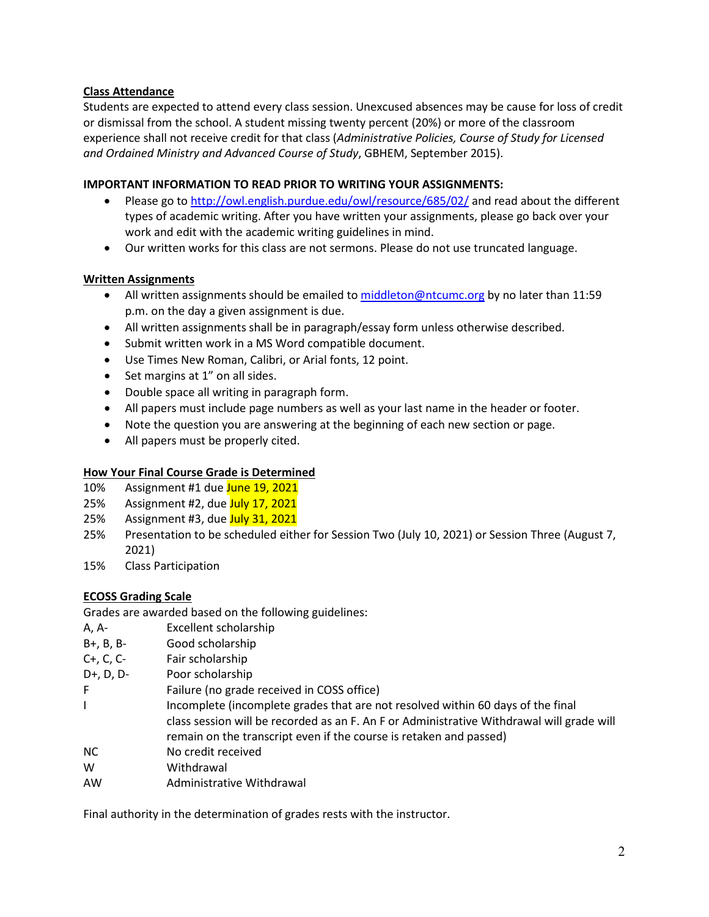# **Class Attendance**

Students are expected to attend every class session. Unexcused absences may be cause for loss of credit or dismissal from the school. A student missing twenty percent (20%) or more of the classroom experience shall not receive credit for that class (*Administrative Policies, Course of Study for Licensed and Ordained Ministry and Advanced Course of Study*, GBHEM, September 2015).

# **IMPORTANT INFORMATION TO READ PRIOR TO WRITING YOUR ASSIGNMENTS:**

- Please go t[o http://owl.english.purdue.edu/owl/resource/685/02/](http://owl.english.purdue.edu/owl/resource/685/02/) and read about the different types of academic writing. After you have written your assignments, please go back over your work and edit with the academic writing guidelines in mind.
- Our written works for this class are not sermons. Please do not use truncated language.

# **Written Assignments**

- All written assignments should be emailed t[o middleton@ntcumc.org](mailto:middleton@ntcumc.org) by no later than 11:59 p.m. on the day a given assignment is due.
- All written assignments shall be in paragraph/essay form unless otherwise described.
- Submit written work in a MS Word compatible document.
- Use Times New Roman, Calibri, or Arial fonts, 12 point.
- Set margins at 1" on all sides.
- Double space all writing in paragraph form.
- All papers must include page numbers as well as your last name in the header or footer.
- Note the question you are answering at the beginning of each new section or page.
- All papers must be properly cited.

### **How Your Final Course Grade is Determined**

- 10% Assignment #1 due June 19, 2021
- 25% Assignment #2, due July 17, 2021
- 25% Assignment #3, due July 31, 2021
- 25% Presentation to be scheduled either for Session Two (July 10, 2021) or Session Three (August 7, 2021)
- 15% Class Participation

# **ECOSS Grading Scale**

Grades are awarded based on the following guidelines:

- A, A- Excellent scholarship
- B+, B, B- Good scholarship
- C+, C, C- Fair scholarship
- D+, D, D- Poor scholarship
- F Failure (no grade received in COSS office)
- I Incomplete (incomplete grades that are not resolved within 60 days of the final class session will be recorded as an F. An F or Administrative Withdrawal will grade will remain on the transcript even if the course is retaken and passed)
- NC No credit received
- W Withdrawal
- AW Administrative Withdrawal

Final authority in the determination of grades rests with the instructor.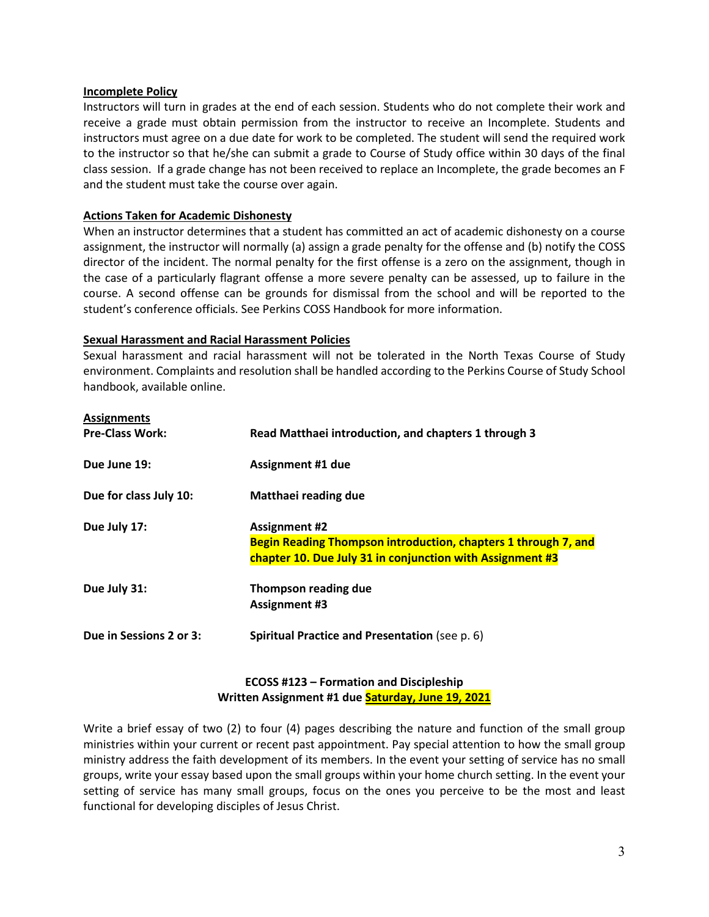#### **Incomplete Policy**

Instructors will turn in grades at the end of each session. Students who do not complete their work and receive a grade must obtain permission from the instructor to receive an Incomplete. Students and instructors must agree on a due date for work to be completed. The student will send the required work to the instructor so that he/she can submit a grade to Course of Study office within 30 days of the final class session. If a grade change has not been received to replace an Incomplete, the grade becomes an F and the student must take the course over again.

### **Actions Taken for Academic Dishonesty**

When an instructor determines that a student has committed an act of academic dishonesty on a course assignment, the instructor will normally (a) assign a grade penalty for the offense and (b) notify the COSS director of the incident. The normal penalty for the first offense is a zero on the assignment, though in the case of a particularly flagrant offense a more severe penalty can be assessed, up to failure in the course. A second offense can be grounds for dismissal from the school and will be reported to the student's conference officials. See Perkins COSS Handbook for more information.

#### **Sexual Harassment and Racial Harassment Policies**

Sexual harassment and racial harassment will not be tolerated in the North Texas Course of Study environment. Complaints and resolution shall be handled according to the Perkins Course of Study School handbook, available online.

| <b>Assignments</b>      |                                                                                                                                                     |
|-------------------------|-----------------------------------------------------------------------------------------------------------------------------------------------------|
| <b>Pre-Class Work:</b>  | Read Matthaei introduction, and chapters 1 through 3                                                                                                |
| Due June 19:            | <b>Assignment #1 due</b>                                                                                                                            |
| Due for class July 10:  | Matthaei reading due                                                                                                                                |
| Due July 17:            | <b>Assignment #2</b><br>Begin Reading Thompson introduction, chapters 1 through 7, and<br>chapter 10. Due July 31 in conjunction with Assignment #3 |
| Due July 31:            | Thompson reading due<br><b>Assignment #3</b>                                                                                                        |
| Due in Sessions 2 or 3: | Spiritual Practice and Presentation (see p. 6)                                                                                                      |

# **ECOSS #123 – Formation and Discipleship Written Assignment #1 due Saturday, June 19, 2021**

Write a brief essay of two (2) to four (4) pages describing the nature and function of the small group ministries within your current or recent past appointment. Pay special attention to how the small group ministry address the faith development of its members. In the event your setting of service has no small groups, write your essay based upon the small groups within your home church setting. In the event your setting of service has many small groups, focus on the ones you perceive to be the most and least functional for developing disciples of Jesus Christ.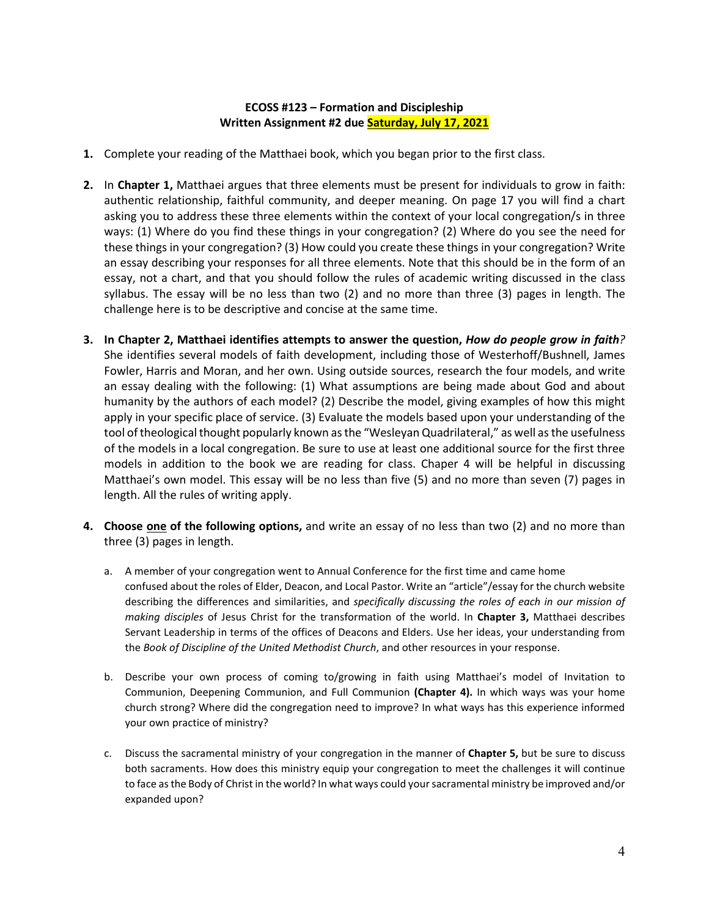# **ECOSS #123 – Formation and Discipleship Written Assignment #2 due Saturday, July 17, 2021**

- **1.** Complete your reading of the Matthaei book, which you began prior to the first class.
- **2.** In **Chapter 1,** Matthaei argues that three elements must be present for individuals to grow in faith: authentic relationship, faithful community, and deeper meaning. On page 17 you will find a chart asking you to address these three elements within the context of your local congregation/s in three ways: (1) Where do you find these things in your congregation? (2) Where do you see the need for these things in your congregation? (3) How could you create these things in your congregation? Write an essay describing your responses for all three elements. Note that this should be in the form of an essay, not a chart, and that you should follow the rules of academic writing discussed in the class syllabus. The essay will be no less than two (2) and no more than three (3) pages in length. The challenge here is to be descriptive and concise at the same time.
- **3. In Chapter 2, Matthaei identifies attempts to answer the question,** *How do people grow in faith?*  She identifies several models of faith development, including those of Westerhoff/Bushnell, James Fowler, Harris and Moran, and her own. Using outside sources, research the four models, and write an essay dealing with the following: (1) What assumptions are being made about God and about humanity by the authors of each model? (2) Describe the model, giving examples of how this might apply in your specific place of service. (3) Evaluate the models based upon your understanding of the tool of theological thought popularly known as the "Wesleyan Quadrilateral," as well as the usefulness of the models in a local congregation. Be sure to use at least one additional source for the first three models in addition to the book we are reading for class. Chaper 4 will be helpful in discussing Matthaei's own model. This essay will be no less than five (5) and no more than seven (7) pages in length. All the rules of writing apply.
- **4. Choose one of the following options,** and write an essay of no less than two (2) and no more than three (3) pages in length.
	- a. A member of your congregation went to Annual Conference for the first time and came home confused about the roles of Elder, Deacon, and Local Pastor. Write an "article"/essay for the church website describing the differences and similarities, and *specifically discussing the roles of each in our mission of making disciples* of Jesus Christ for the transformation of the world. In **Chapter 3,** Matthaei describes Servant Leadership in terms of the offices of Deacons and Elders. Use her ideas, your understanding from the *Book of Discipline of the United Methodist Church*, and other resources in your response.
	- b. Describe your own process of coming to/growing in faith using Matthaei's model of Invitation to Communion, Deepening Communion, and Full Communion **(Chapter 4).** In which ways was your home church strong? Where did the congregation need to improve? In what ways has this experience informed your own practice of ministry?
	- c. Discuss the sacramental ministry of your congregation in the manner of **Chapter 5,** but be sure to discuss both sacraments. How does this ministry equip your congregation to meet the challenges it will continue to face as the Body of Christ in the world? In what ways could your sacramental ministry be improved and/or expanded upon?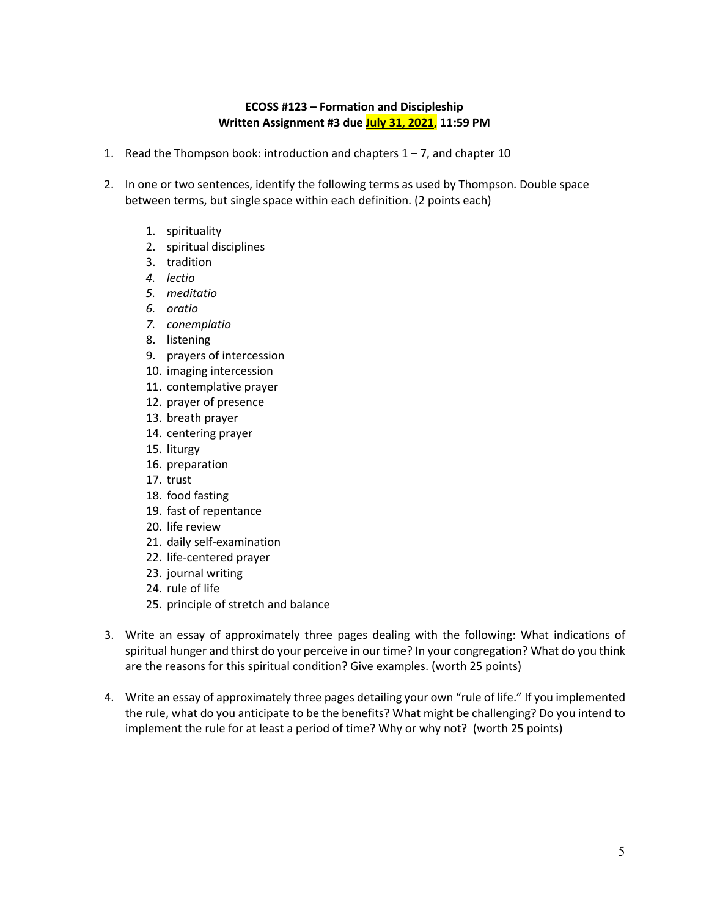# **ECOSS #123 – Formation and Discipleship Written Assignment #3 due July 31, 2021, 11:59 PM**

- 1. Read the Thompson book: introduction and chapters  $1 7$ , and chapter 10
- 2. In one or two sentences, identify the following terms as used by Thompson. Double space between terms, but single space within each definition. (2 points each)
	- 1. spirituality
	- 2. spiritual disciplines
	- 3. tradition
	- *4. lectio*
	- *5. meditatio*
	- *6. oratio*
	- *7. conemplatio*
	- 8. listening
	- 9. prayers of intercession
	- 10. imaging intercession
	- 11. contemplative prayer
	- 12. prayer of presence
	- 13. breath prayer
	- 14. centering prayer
	- 15. liturgy
	- 16. preparation
	- 17. trust
	- 18. food fasting
	- 19. fast of repentance
	- 20. life review
	- 21. daily self-examination
	- 22. life-centered prayer
	- 23. journal writing
	- 24. rule of life
	- 25. principle of stretch and balance
- 3. Write an essay of approximately three pages dealing with the following: What indications of spiritual hunger and thirst do your perceive in our time? In your congregation? What do you think are the reasons for this spiritual condition? Give examples. (worth 25 points)
- 4. Write an essay of approximately three pages detailing your own "rule of life." If you implemented the rule, what do you anticipate to be the benefits? What might be challenging? Do you intend to implement the rule for at least a period of time? Why or why not? (worth 25 points)